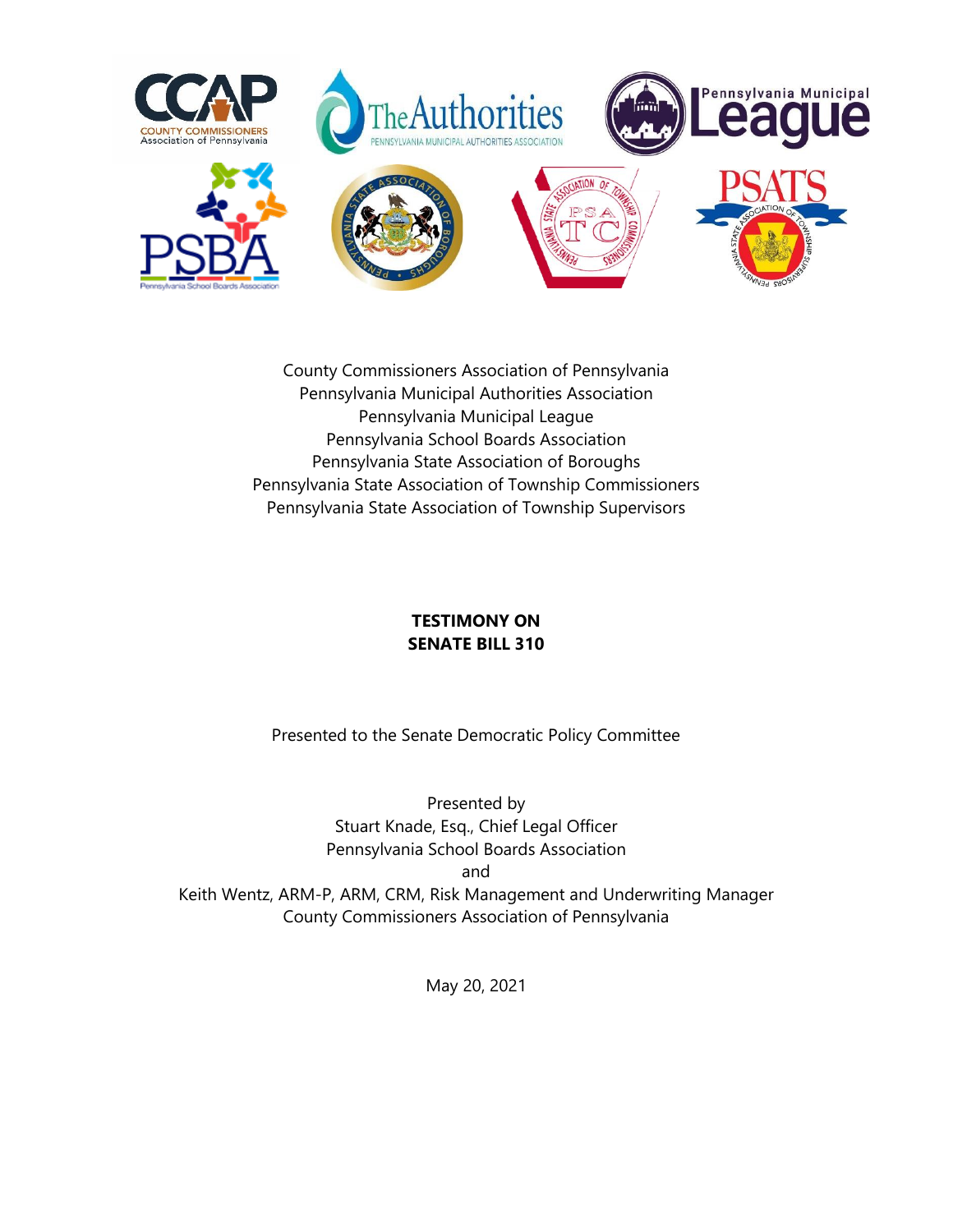

County Commissioners Association of Pennsylvania Pennsylvania Municipal Authorities Association Pennsylvania Municipal League Pennsylvania School Boards Association Pennsylvania State Association of Boroughs Pennsylvania State Association of Township Commissioners Pennsylvania State Association of Township Supervisors

## **TESTIMONY ON SENATE BILL 310**

Presented to the Senate Democratic Policy Committee

Presented by Stuart Knade, Esq., Chief Legal Officer Pennsylvania School Boards Association and Keith Wentz, ARM-P, ARM, CRM, Risk Management and Underwriting Manager County Commissioners Association of Pennsylvania

May 20, 2021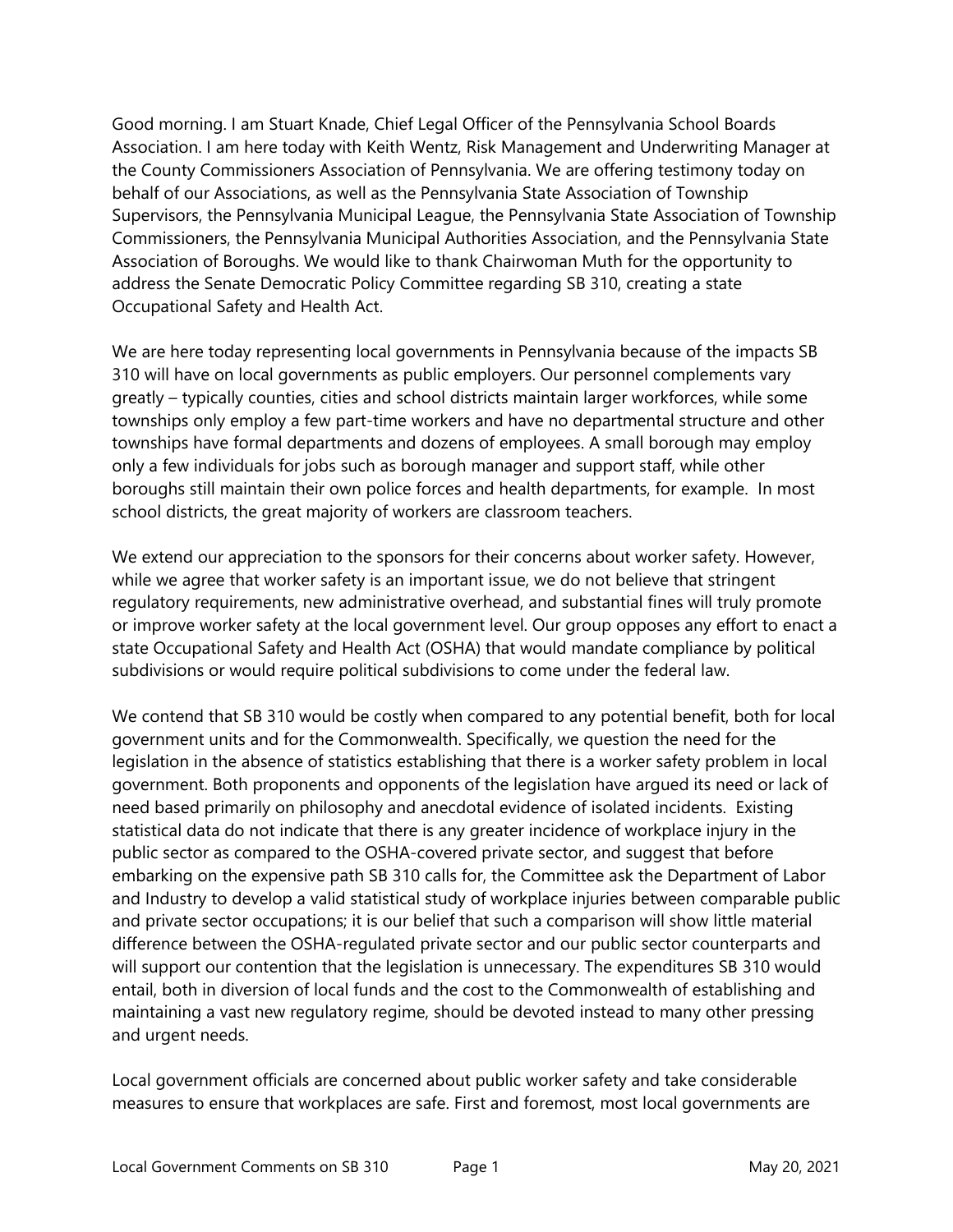Good morning. I am Stuart Knade, Chief Legal Officer of the Pennsylvania School Boards Association. I am here today with Keith Wentz, Risk Management and Underwriting Manager at the County Commissioners Association of Pennsylvania. We are offering testimony today on behalf of our Associations, as well as the Pennsylvania State Association of Township Supervisors, the Pennsylvania Municipal League, the Pennsylvania State Association of Township Commissioners, the Pennsylvania Municipal Authorities Association, and the Pennsylvania State Association of Boroughs. We would like to thank Chairwoman Muth for the opportunity to address the Senate Democratic Policy Committee regarding SB 310, creating a state Occupational Safety and Health Act.

We are here today representing local governments in Pennsylvania because of the impacts SB 310 will have on local governments as public employers. Our personnel complements vary greatly – typically counties, cities and school districts maintain larger workforces, while some townships only employ a few part-time workers and have no departmental structure and other townships have formal departments and dozens of employees. A small borough may employ only a few individuals for jobs such as borough manager and support staff, while other boroughs still maintain their own police forces and health departments, for example. In most school districts, the great majority of workers are classroom teachers.

We extend our appreciation to the sponsors for their concerns about worker safety. However, while we agree that worker safety is an important issue, we do not believe that stringent regulatory requirements, new administrative overhead, and substantial fines will truly promote or improve worker safety at the local government level. Our group opposes any effort to enact a state Occupational Safety and Health Act (OSHA) that would mandate compliance by political subdivisions or would require political subdivisions to come under the federal law.

We contend that SB 310 would be costly when compared to any potential benefit, both for local government units and for the Commonwealth. Specifically, we question the need for the legislation in the absence of statistics establishing that there is a worker safety problem in local government. Both proponents and opponents of the legislation have argued its need or lack of need based primarily on philosophy and anecdotal evidence of isolated incidents. Existing statistical data do not indicate that there is any greater incidence of workplace injury in the public sector as compared to the OSHA-covered private sector, and suggest that before embarking on the expensive path SB 310 calls for, the Committee ask the Department of Labor and Industry to develop a valid statistical study of workplace injuries between comparable public and private sector occupations; it is our belief that such a comparison will show little material difference between the OSHA-regulated private sector and our public sector counterparts and will support our contention that the legislation is unnecessary. The expenditures SB 310 would entail, both in diversion of local funds and the cost to the Commonwealth of establishing and maintaining a vast new regulatory regime, should be devoted instead to many other pressing and urgent needs.

Local government officials are concerned about public worker safety and take considerable measures to ensure that workplaces are safe. First and foremost, most local governments are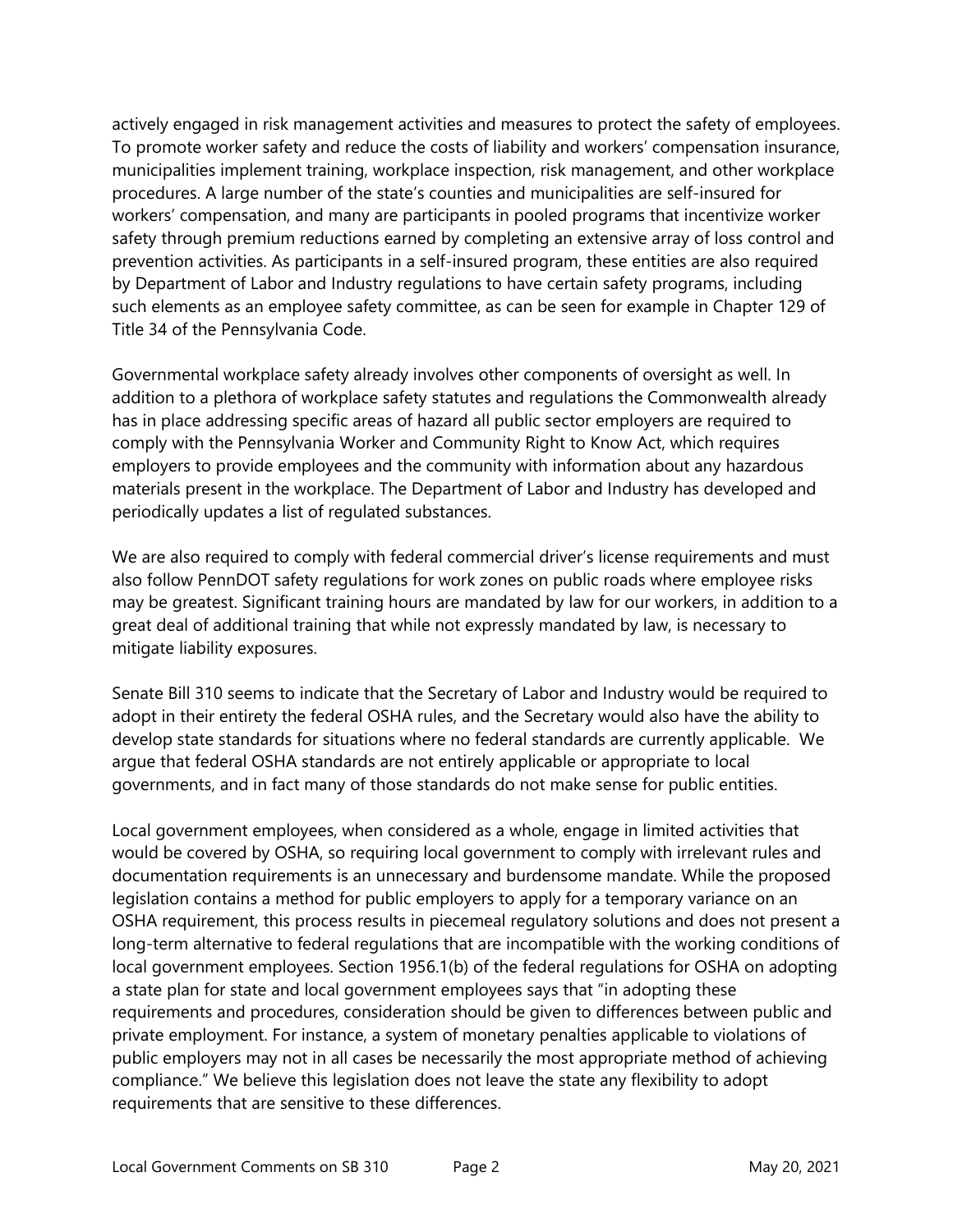actively engaged in risk management activities and measures to protect the safety of employees. To promote worker safety and reduce the costs of liability and workers' compensation insurance, municipalities implement training, workplace inspection, risk management, and other workplace procedures. A large number of the state's counties and municipalities are self-insured for workers' compensation, and many are participants in pooled programs that incentivize worker safety through premium reductions earned by completing an extensive array of loss control and prevention activities. As participants in a self-insured program, these entities are also required by Department of Labor and Industry regulations to have certain safety programs, including such elements as an employee safety committee, as can be seen for example in Chapter 129 of Title 34 of the Pennsylvania Code.

Governmental workplace safety already involves other components of oversight as well. In addition to a plethora of workplace safety statutes and regulations the Commonwealth already has in place addressing specific areas of hazard all public sector employers are required to comply with the Pennsylvania Worker and Community Right to Know Act, which requires employers to provide employees and the community with information about any hazardous materials present in the workplace. The Department of Labor and Industry has developed and periodically updates a list of regulated substances.

We are also required to comply with federal commercial driver's license requirements and must also follow PennDOT safety regulations for work zones on public roads where employee risks may be greatest. Significant training hours are mandated by law for our workers, in addition to a great deal of additional training that while not expressly mandated by law, is necessary to mitigate liability exposures.

Senate Bill 310 seems to indicate that the Secretary of Labor and Industry would be required to adopt in their entirety the federal OSHA rules, and the Secretary would also have the ability to develop state standards for situations where no federal standards are currently applicable. We argue that federal OSHA standards are not entirely applicable or appropriate to local governments, and in fact many of those standards do not make sense for public entities.

Local government employees, when considered as a whole, engage in limited activities that would be covered by OSHA, so requiring local government to comply with irrelevant rules and documentation requirements is an unnecessary and burdensome mandate. While the proposed legislation contains a method for public employers to apply for a temporary variance on an OSHA requirement, this process results in piecemeal regulatory solutions and does not present a long-term alternative to federal regulations that are incompatible with the working conditions of local government employees. Section 1956.1(b) of the federal regulations for OSHA on adopting a state plan for state and local government employees says that "in adopting these requirements and procedures, consideration should be given to differences between public and private employment. For instance, a system of monetary penalties applicable to violations of public employers may not in all cases be necessarily the most appropriate method of achieving compliance." We believe this legislation does not leave the state any flexibility to adopt requirements that are sensitive to these differences.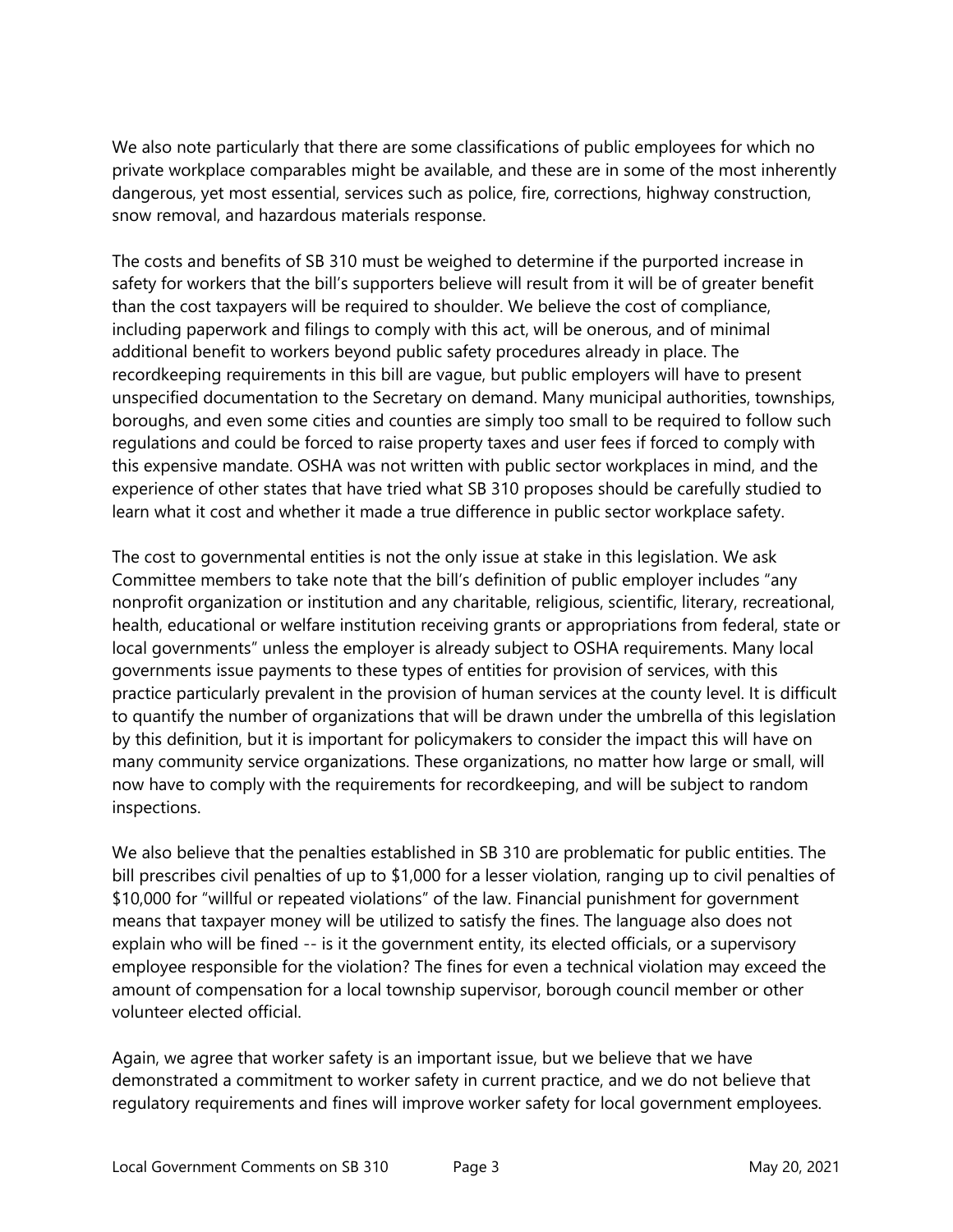We also note particularly that there are some classifications of public employees for which no private workplace comparables might be available, and these are in some of the most inherently dangerous, yet most essential, services such as police, fire, corrections, highway construction, snow removal, and hazardous materials response.

The costs and benefits of SB 310 must be weighed to determine if the purported increase in safety for workers that the bill's supporters believe will result from it will be of greater benefit than the cost taxpayers will be required to shoulder. We believe the cost of compliance, including paperwork and filings to comply with this act, will be onerous, and of minimal additional benefit to workers beyond public safety procedures already in place. The recordkeeping requirements in this bill are vague, but public employers will have to present unspecified documentation to the Secretary on demand. Many municipal authorities, townships, boroughs, and even some cities and counties are simply too small to be required to follow such regulations and could be forced to raise property taxes and user fees if forced to comply with this expensive mandate. OSHA was not written with public sector workplaces in mind, and the experience of other states that have tried what SB 310 proposes should be carefully studied to learn what it cost and whether it made a true difference in public sector workplace safety.

The cost to governmental entities is not the only issue at stake in this legislation. We ask Committee members to take note that the bill's definition of public employer includes "any nonprofit organization or institution and any charitable, religious, scientific, literary, recreational, health, educational or welfare institution receiving grants or appropriations from federal, state or local governments" unless the employer is already subject to OSHA requirements. Many local governments issue payments to these types of entities for provision of services, with this practice particularly prevalent in the provision of human services at the county level. It is difficult to quantify the number of organizations that will be drawn under the umbrella of this legislation by this definition, but it is important for policymakers to consider the impact this will have on many community service organizations. These organizations, no matter how large or small, will now have to comply with the requirements for recordkeeping, and will be subject to random inspections.

We also believe that the penalties established in SB 310 are problematic for public entities. The bill prescribes civil penalties of up to \$1,000 for a lesser violation, ranging up to civil penalties of \$10,000 for "willful or repeated violations" of the law. Financial punishment for government means that taxpayer money will be utilized to satisfy the fines. The language also does not explain who will be fined -- is it the government entity, its elected officials, or a supervisory employee responsible for the violation? The fines for even a technical violation may exceed the amount of compensation for a local township supervisor, borough council member or other volunteer elected official.

Again, we agree that worker safety is an important issue, but we believe that we have demonstrated a commitment to worker safety in current practice, and we do not believe that regulatory requirements and fines will improve worker safety for local government employees.